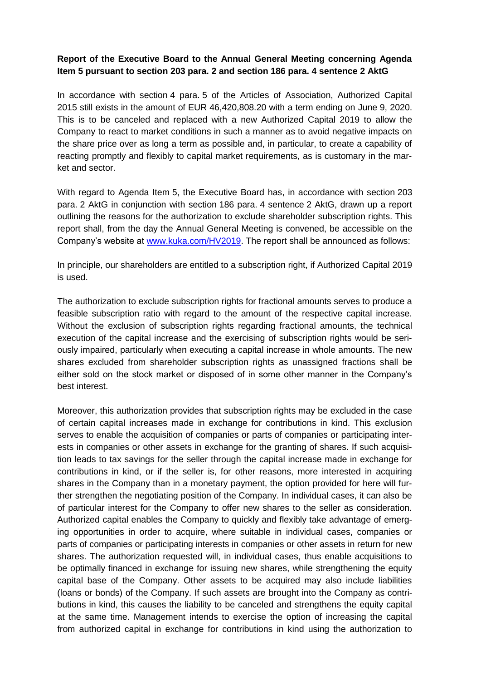## **Report of the Executive Board to the Annual General Meeting concerning Agenda Item 5 pursuant to section 203 para. 2 and section 186 para. 4 sentence 2 AktG**

In accordance with section 4 para. 5 of the Articles of Association, Authorized Capital 2015 still exists in the amount of EUR 46,420,808.20 with a term ending on June 9, 2020. This is to be canceled and replaced with a new Authorized Capital 2019 to allow the Company to react to market conditions in such a manner as to avoid negative impacts on the share price over as long a term as possible and, in particular, to create a capability of reacting promptly and flexibly to capital market requirements, as is customary in the market and sector.

With regard to Agenda Item 5, the Executive Board has, in accordance with section 203 para. 2 AktG in conjunction with section 186 para. 4 sentence 2 AktG, drawn up a report outlining the reasons for the authorization to exclude shareholder subscription rights. This report shall, from the day the Annual General Meeting is convened, be accessible on the Company's website at [www.kuka.com/HV2019.](http://www.kuka.com/HV2019) The report shall be announced as follows:

In principle, our shareholders are entitled to a subscription right, if Authorized Capital 2019 is used.

The authorization to exclude subscription rights for fractional amounts serves to produce a feasible subscription ratio with regard to the amount of the respective capital increase. Without the exclusion of subscription rights regarding fractional amounts, the technical execution of the capital increase and the exercising of subscription rights would be seriously impaired, particularly when executing a capital increase in whole amounts. The new shares excluded from shareholder subscription rights as unassigned fractions shall be either sold on the stock market or disposed of in some other manner in the Company's best interest.

Moreover, this authorization provides that subscription rights may be excluded in the case of certain capital increases made in exchange for contributions in kind. This exclusion serves to enable the acquisition of companies or parts of companies or participating interests in companies or other assets in exchange for the granting of shares. If such acquisition leads to tax savings for the seller through the capital increase made in exchange for contributions in kind, or if the seller is, for other reasons, more interested in acquiring shares in the Company than in a monetary payment, the option provided for here will further strengthen the negotiating position of the Company. In individual cases, it can also be of particular interest for the Company to offer new shares to the seller as consideration. Authorized capital enables the Company to quickly and flexibly take advantage of emerging opportunities in order to acquire, where suitable in individual cases, companies or parts of companies or participating interests in companies or other assets in return for new shares. The authorization requested will, in individual cases, thus enable acquisitions to be optimally financed in exchange for issuing new shares, while strengthening the equity capital base of the Company. Other assets to be acquired may also include liabilities (loans or bonds) of the Company. If such assets are brought into the Company as contributions in kind, this causes the liability to be canceled and strengthens the equity capital at the same time. Management intends to exercise the option of increasing the capital from authorized capital in exchange for contributions in kind using the authorization to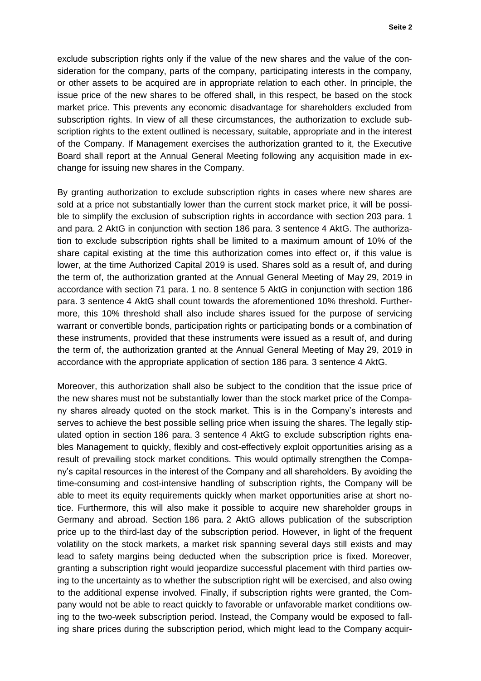exclude subscription rights only if the value of the new shares and the value of the consideration for the company, parts of the company, participating interests in the company, or other assets to be acquired are in appropriate relation to each other. In principle, the issue price of the new shares to be offered shall, in this respect, be based on the stock market price. This prevents any economic disadvantage for shareholders excluded from subscription rights. In view of all these circumstances, the authorization to exclude subscription rights to the extent outlined is necessary, suitable, appropriate and in the interest of the Company. If Management exercises the authorization granted to it, the Executive Board shall report at the Annual General Meeting following any acquisition made in exchange for issuing new shares in the Company.

By granting authorization to exclude subscription rights in cases where new shares are sold at a price not substantially lower than the current stock market price, it will be possible to simplify the exclusion of subscription rights in accordance with section 203 para. 1 and para. 2 AktG in conjunction with section 186 para. 3 sentence 4 AktG. The authorization to exclude subscription rights shall be limited to a maximum amount of 10% of the share capital existing at the time this authorization comes into effect or, if this value is lower, at the time Authorized Capital 2019 is used. Shares sold as a result of, and during the term of, the authorization granted at the Annual General Meeting of May 29, 2019 in accordance with section 71 para. 1 no. 8 sentence 5 AktG in conjunction with section 186 para. 3 sentence 4 AktG shall count towards the aforementioned 10% threshold. Furthermore, this 10% threshold shall also include shares issued for the purpose of servicing warrant or convertible bonds, participation rights or participating bonds or a combination of these instruments, provided that these instruments were issued as a result of, and during the term of, the authorization granted at the Annual General Meeting of May 29, 2019 in accordance with the appropriate application of section 186 para. 3 sentence 4 AktG.

Moreover, this authorization shall also be subject to the condition that the issue price of the new shares must not be substantially lower than the stock market price of the Company shares already quoted on the stock market. This is in the Company's interests and serves to achieve the best possible selling price when issuing the shares. The legally stipulated option in section 186 para. 3 sentence 4 AktG to exclude subscription rights enables Management to quickly, flexibly and cost-effectively exploit opportunities arising as a result of prevailing stock market conditions. This would optimally strengthen the Company's capital resources in the interest of the Company and all shareholders. By avoiding the time-consuming and cost-intensive handling of subscription rights, the Company will be able to meet its equity requirements quickly when market opportunities arise at short notice. Furthermore, this will also make it possible to acquire new shareholder groups in Germany and abroad. Section 186 para. 2 AktG allows publication of the subscription price up to the third-last day of the subscription period. However, in light of the frequent volatility on the stock markets, a market risk spanning several days still exists and may lead to safety margins being deducted when the subscription price is fixed. Moreover, granting a subscription right would jeopardize successful placement with third parties owing to the uncertainty as to whether the subscription right will be exercised, and also owing to the additional expense involved. Finally, if subscription rights were granted, the Company would not be able to react quickly to favorable or unfavorable market conditions owing to the two-week subscription period. Instead, the Company would be exposed to falling share prices during the subscription period, which might lead to the Company acquir